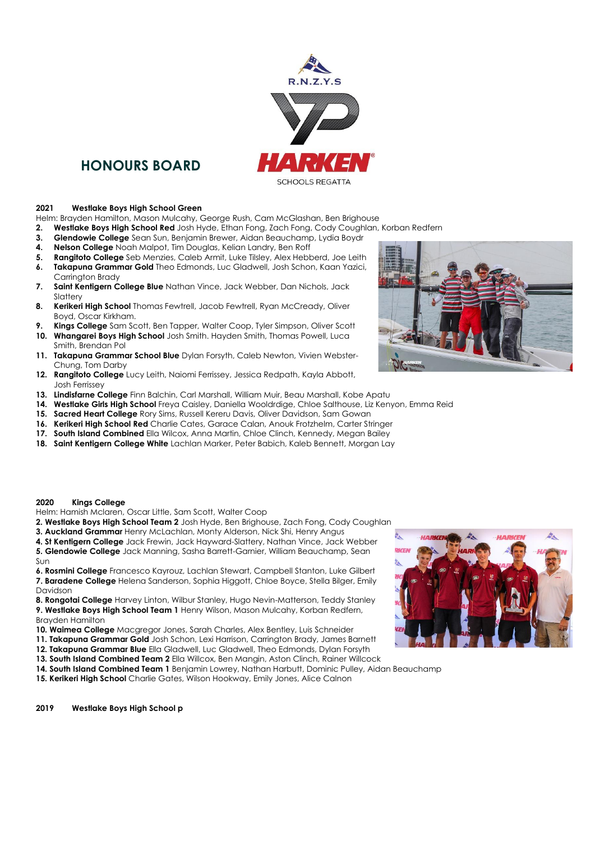

# **HONOURS BOARD**

#### **2021 Westlake Boys High School Green**

Helm: Brayden Hamilton, Mason Mulcahy, George Rush, Cam McGlashan, Ben Brighouse

- **2. Westlake Boys High School Red** Josh Hyde, Ethan Fong, Zach Fong, Cody Coughlan, Korban Redfern
- **3. Glendowie College** Sean Sun, Benjamin Brewer, Aidan Beauchamp, Lydia Boydr
- **4. Nelson College** Noah Malpot, Tim Douglas, Kelian Landry, Ben Roff
- **5. Rangitoto College** Seb Menzies, Caleb Armit, Luke Tilsley, Alex Hebberd, Joe Leith **6. Takapuna Grammar Gold** Theo Edmonds, Luc Gladwell, Josh Schon, Kaan Yazici,
- Carrington Brady **7. Saint Kentigern College Blue** Nathan Vince, Jack Webber, Dan Nichols, Jack Slattery
- **8. Kerikeri High School** Thomas Fewtrell, Jacob Fewtrell, Ryan McCready, Oliver Boyd, Oscar Kirkham.
- **9. Kings College** Sam Scott, Ben Tapper, Walter Coop, Tyler Simpson, Oliver Scott
- **10. Whangarei Boys High School** Josh Smith. Hayden Smith, Thomas Powell, Luca Smith, Brendan Pol
- **11. Takapuna Grammar School Blue** Dylan Forsyth, Caleb Newton, Vivien Webster-Chung, Tom Darby
- **12. Rangitoto College** Lucy Leith, Naiomi Ferrissey, Jessica Redpath, Kayla Abbott, Josh Ferrissey
- **13. Lindisfarne College** Finn Balchin, Carl Marshall, William Muir, Beau Marshall, Kobe Apatu
- **14. Westlake Girls High School** Freya Caisley, Daniella Wooldrdige, Chloe Salthouse, Liz Kenyon, Emma Reid
- **15. Sacred Heart College** Rory Sims, Russell Kereru Davis, Oliver Davidson, Sam Gowan
- **16. Kerikeri High School Red** Charlie Cates, Garace Calan, Anouk Frotzhelm, Carter Stringer
- **17. South Island Combined** Ella Wilcox, Anna Martin, Chloe Clinch, Kennedy, Megan Bailey
- **18. Saint Kentigern College White** Lachlan Marker, Peter Babich, Kaleb Bennett, Morgan Lay



# **2020 Kings College**

Helm: Hamish Mclaren, Oscar Little, Sam Scott, Walter Coop

- **2. Westlake Boys High School Team 2** Josh Hyde, Ben Brighouse, Zach Fong, Cody Coughlan
- **3. Auckland Grammar** Henry McLachlan, Monty Alderson, Nick Shi, Henry Angus
- **4. St Kentigern College** Jack Frewin, Jack Hayward-Slattery, Nathan Vince, Jack Webber

**5. Glendowie College** Jack Manning, Sasha Barrett-Garnier, William Beauchamp, Sean Sun

**6. Rosmini College** Francesco Kayrouz, Lachlan Stewart, Campbell Stanton, Luke Gilbert **7. Baradene College** Helena Sanderson, Sophia Higgott, Chloe Boyce, Stella Bilger, Emily Davidson

**8. Rongotai College** Harvey Linton, Wilbur Stanley, Hugo Nevin-Matterson, Teddy Stanley **9. Westlake Boys High School Team 1** Henry Wilson, Mason Mulcahy, Korban Redfern, Brayden Hamilton

- **10. Waimea College** Macgregor Jones, Sarah Charles, Alex Bentley, Luis Schneider
- **11. Takapuna Grammar Gold** Josh Schon, Lexi Harrison, Carrington Brady, James Barnett
- **12. Takapuna Grammar Blue** Ella Gladwell, Luc Gladwell, Theo Edmonds, Dylan Forsyth
- **13. South Island Combined Team 2** Ella Willcox, Ben Mangin, Aston Clinch, Rainer Willcock

**14. South Island Combined Team 1** Benjamin Lowrey, Nathan Harbutt, Dominic Pulley, Aidan Beauchamp

**15. Kerikeri High School** Charlie Gates, Wilson Hookway, Emily Jones, Alice Calnon

**2019 Westlake Boys High School p**

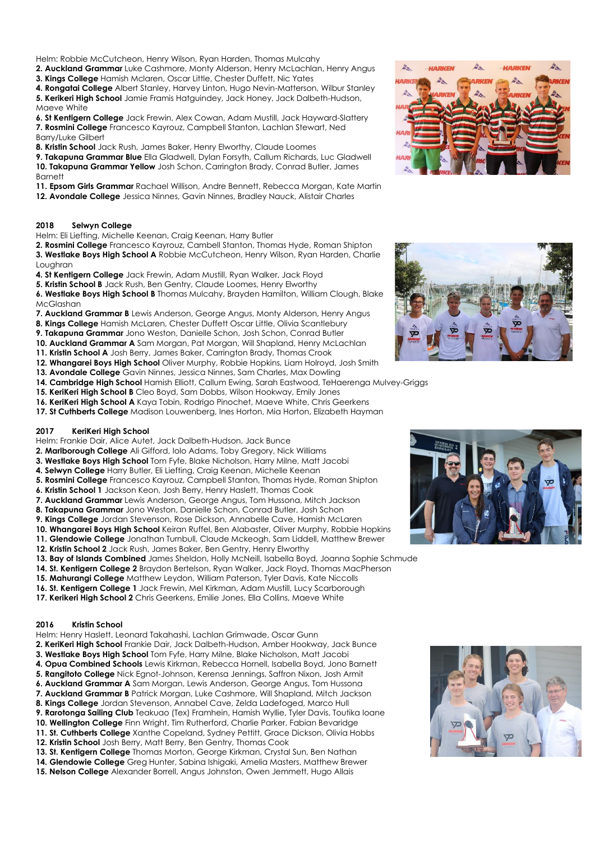Helm: Robbie McCutcheon, Henry Wilson, Ryan Harden, Thomas Mulcahy

**2. Auckland Grammar** Luke Cashmore, Monty Alderson, Henry McLachlan, Henry Angus **3. Kings College** Hamish Mclaren, Oscar Little, Chester Duffett, Nic Yates

**4. Rongatai College** Albert Stanley, Harvey Linton, Hugo Nevin-Matterson, Wilbur Stanley **5. Kerikeri High School** Jamie Framis Hatguindey, Jack Honey, Jack Dalbeth-Hudson, Maeve White

**6. St Kentigern College** Jack Frewin, Alex Cowan, Adam Mustill, Jack Hayward-Slattery **7. Rosmini College** Francesco Kayrouz, Campbell Stanton, Lachlan Stewart, Ned Barry/Luke Gilbert

**8. Kristin School** Jack Rush, James Baker, Henry Elworthy, Claude Loomes

**9. Takapuna Grammar Blue** Ella Gladwell, Dylan Forsyth, Callum Richards, Luc Gladwell **10. Takapuna Grammar Yellow** Josh Schon, Carrington Brady, Conrad Butler, James Barnett

**11. Epsom Girls Grammar** Rachael Willison, Andre Bennett, Rebecca Morgan, Kate Martin

**12. Avondale College** Jessica Ninnes, Gavin Ninnes, Bradley Nauck, Alistair Charles

#### **2018 Selwyn College**

Helm: Eli Liefting, Michelle Keenan, Craig Keenan, Harry Butler

**2. Rosmini College** Francesco Kayrouz, Cambell Stanton, Thomas Hyde, Roman Shipton **3. Westlake Boys High School A** Robbie McCutcheon, Henry Wilson, Ryan Harden, Charlie Loughran

**4. St Kentigern College** Jack Frewin, Adam Mustill, Ryan Walker, Jack Floyd

**5. Kristin School B** Jack Rush, Ben Gentry, Claude Loomes, Henry Elworthy

**6. Westlake Boys High School B** Thomas Mulcahy, Brayden Hamilton, William Clough, Blake **McGlashan** 

- **7. Auckland Grammar B** Lewis Anderson, George Angus, Monty Alderson, Henry Angus
- **8. Kings College** Hamish McLaren, Chester Duffett Oscar Little, Olivia Scantlebury

**9. Takapuna Grammar** Jono Weston, Danielle Schon, Josh Schon, Conrad Butler

**10. Auckland Grammar A** Sam Morgan, Pat Morgan, Will Shapland, Henry McLachlan

**11. Kristin School A** Josh Berry, James Baker, Carrington Brady, Thomas Crook

**12. Whangarei Boys High School** Oliver Murphy, Robbie Hopkins, Liam Holroyd, Josh Smith

- **13. Avondale College** Gavin Ninnes, Jessica Ninnes, Sam Charles, Max Dowling
- **14. Cambridge High School** Hamish Elliott, Callum Ewing, Sarah Eastwood, TeHaerenga Mulvey-Griggs
- **15. KeriKeri High School B** Cleo Boyd, Sam Dobbs, Wilson Hookway, Emily Jones
- **16. KeriKeri High School A** Kaya Tobin, Rodrigo Pinochet, Maeve White, Chris Geerkens **17. St Cuthberts College** Madison Louwenberg, Ines Horton, Mia Horton, Elizabeth Hayman

# **2017 KeriKeri High School**

Helm: Frankie Dair, Alice Autet, Jack Dalbeth-Hudson, Jack Bunce

- **2. Marlborough College** Ali Gifford, Iolo Adams, Toby Gregory, Nick Williams
- **3. Westlake Boys High School** Tom Fyfe, Blake Nicholson, Harry Milne, Matt Jacobi
- **4. Selwyn College** Harry Butler, Eli Liefting, Craig Keenan, Michelle Keenan
- **5. Rosmini College** Francesco Kayrouz, Campbell Stanton, Thomas Hyde, Roman Shipton
- **6. Kristin School 1** Jackson Keon, Josh Berry, Henry Haslett, Thomas Cook
- **7. Auckland Grammar** Lewis Anderson, George Angus, Tom Hussona, Mitch Jackson

**8. Takapuna Grammar** Jono Weston, Danielle Schon, Conrad Butler, Josh Schon

**9. Kings College** Jordan Stevenson, Rose Dickson, Annabelle Cave, Hamish McLaren

**10. Whangarei Boys High School** Keiran Ruffel, Ben Alabaster, Oliver Murphy, Robbie Hopkins

**11. Glendowie College** Jonathan Turnbull, Claude Mckeogh, Sam Liddell, Matthew Brewer

- **12. Kristin School 2** Jack Rush, James Baker, Ben Gentry, Henry Elworthy
- **13. Bay of Islands Combined** James Sheldon, Holly McNeill, Isabella Boyd, Joanna Sophie Schmude
- **14. St. Kentigern College 2** Braydon Bertelson, Ryan Walker, Jack Floyd, Thomas MacPherson
- **15. Mahurangi College** Matthew Leydon, William Paterson, Tyler Davis, Kate Niccolls
- **16. St. Kentigern College 1** Jack Frewin, Mel Kirkman, Adam Mustill, Lucy Scarborough
- **17. Kerikeri High School 2** Chris Geerkens, Emilie Jones, Ella Collins, Maeve White

## **2016 Kristin School**

Helm: Henry Haslett, Leonard Takahashi, Lachlan Grimwade, Oscar Gunn

**2. KeriKeri High School** Frankie Dair, Jack Dalbeth-Hudson, Amber Hookway, Jack Bunce

**3. Westlake Boys High School** Tom Fyfe, Harry Milne, Blake Nicholson, Matt Jacobi

**4. Opua Combined Schools** Lewis Kirkman, Rebecca Hornell, Isabella Boyd, Jono Barnett

**5. Rangitoto College** Nick Egnot-Johnson, Kerensa Jennings, Saffron Nixon, Josh Armit

**6. Auckland Grammar A** Sam Morgan, Lewis Anderson, George Angus, Tom Hussona

**7. Auckland Grammar B** Patrick Morgan, Luke Cashmore, Will Shapland, Mitch Jackson

**8. Kings College** Jordan Stevenson, Annabel Cave, Zelda Ladefoged, Marco Hull

**9. Rarotonga Sailing Club** Teakuao (Tex) Framhein, Hamish Wyllie, Tyler Davis, Toutika Ioane

**10. Wellington College** Finn Wright, Tim Rutherford, Charlie Parker, Fabian Bevaridge

**11. St. Cuthberts College** Xanthe Copeland, Sydney Pettitt, Grace Dickson, Olivia Hobbs

**12. Kristin School** Josh Berry, Matt Berry, Ben Gentry, Thomas Cook

**13. St. Kentigern College** Thomas Morton, George Kirkman, Crystal Sun, Ben Nathan

**14. Glendowie College** Greg Hunter, Sabina Ishigaki, Amelia Masters, Matthew Brewer

**15. Nelson College** Alexander Borrell, Angus Johnston, Owen Jemmett, Hugo Allais









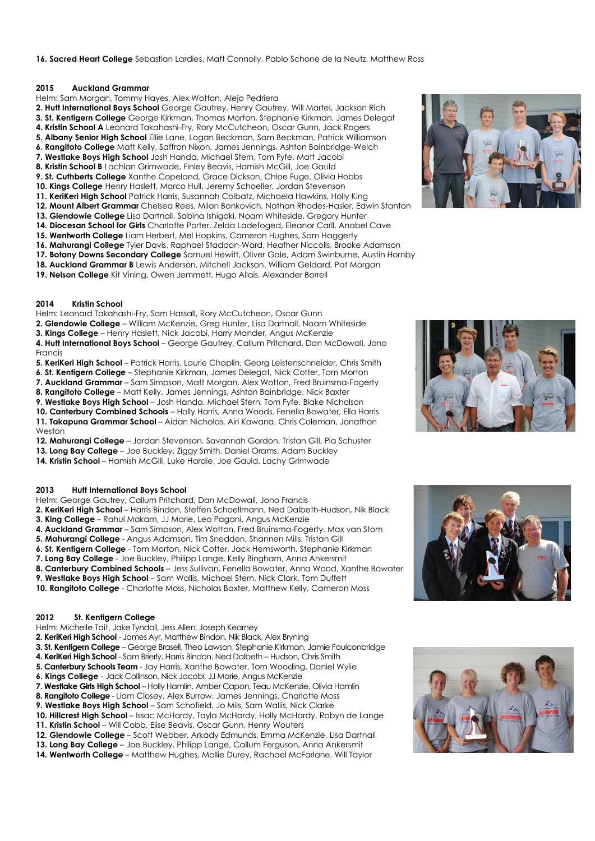## **16. Sacred Heart College** Sebastian Lardies, Matt Connolly, Pablo Schone de la Neutz, Matthew Ross

#### **2015 Auckland Grammar**

- Helm: Sam Morgan, Tommy Hayes, Alex Wotton, Alejo Pedriera
- **2. Hutt International Boys School** George Gautrey, Henry Gautrey, Will Martel, Jackson Rich
- **3. St. Kentigern College** George Kirkman, Thomas Morton, Stephanie Kirkman, James Delegat
- **4. Kristin School A** Leonard Takahashi-Fry, Rory McCutcheon, Oscar Gunn, Jack Rogers
- **5. Albany Senior High School** Ellie Lane, Logan Beckman, Sam Beckman, Patrick Williamson
- **6. Rangitoto College** Matt Kelly, Saffron Nixon, James Jennings, Ashton Bainbridge-Welch
- **7. Westlake Boys High School** Josh Handa, Michael Stern, Tom Fyfe, Matt Jacobi
- **8. Kristin School B** Lachlan Grimwade, Finley Beavis, Hamish McGill, Joe Gauld
- **9. St. Cuthberts College** Xanthe Copeland, Grace Dickson, Chloe Fuge, Olivia Hobbs
- **10. Kings College** Henry Haslett, Marco Hull, Jeremy Schoeller, Jordan Stevenson
- **11. KeriKeri High School** Patrick Harris, Susannah Colbatz, Michaela Hawkins, Holly King
- **12. Mount Albert Grammar** Chelsea Rees, Milan Bonkovich, Nathan Rhodes-Hasler, Edwin Stanton
- **13. Glendowie College** Lisa Dartnall, Sabina Ishigaki, Noam Whiteside, Gregory Hunter
- **14. Diocesan School for Girls** Charlotte Porter, Zelda Ladefoged, Eleanor Carll, Anabel Cave
- **15. Wentworth College** Liam Herbert, Mel Hopkins, Cameron Hughes, Sam Haggerty
- **16. Mahurangi College** Tyler Davis, Raphael Staddon-Ward, Heather Niccolls, Brooke Adamson
- **17. Botany Downs Secondary College** Samuel Hewitt, Oliver Gale, Adam Swinburne, Austin Hornby
- **18. Auckland Grammar B** Lewis Anderson, Mitchell Jackson, William Geldard, Pat Morgan
- **19. Nelson College** Kit Vining, Owen Jemmett, Hugo Allais, Alexander Borrell

## **2014 Kristin School**

Helm: Leonard Takahashi-Fry, Sam Hassall, Rory McCutcheon, Oscar Gunn

- **2. Glendowie College** William McKenzie, Greg Hunter, Lisa Dartnall, Noam Whiteside
- **3. Kings College** Henry Haslett, Nick Jacobi, Harry Mander, Angus McKenzie

**4. Hutt International Boys School** – George Gautrey, Callum Pritchard, Dan McDowall, Jono Francis

**5. KeriKeri High School** – Patrick Harris, Laurie Chaplin, Georg Leistenschneider, Chris Smith **6. St. Kentigern College** – Stephanie Kirkman, James Delegat, Nick Cotter, Tom Morton

**7. Auckland Grammar** – Sam Simpson, Matt Morgan, Alex Wotton, Fred Bruinsma-Fogerty

**8. Rangitoto College** – Matt Kelly, James Jennings, Ashton Bainbridge, Nick Baxter

**9. Westlake Boys High School** – Josh Handa, Michael Stern, Tom Fyfe, Blake Nicholson

**10. Canterbury Combined Schools** – Holly Harris, Anna Woods, Fenella Bowater, Ella Harris **11. Takapuna Grammar School** – Aidan Nicholas, Airi Kawana, Chris Coleman, Jonathon Weston

- **12. Mahurangi College** Jordan Stevenson, Savannah Gordon, Tristan Gill, Pia Schuster
- **13. Long Bay College** Joe Buckley, Ziggy Smith, Daniel Orams, Adam Buckley
- **14. Kristin School** Hamish McGill, Luke Hardie, Joe Gauld, Lachy Grimwade

#### **2013 Hutt International Boys School**

Helm: George Gautrey, Callum Pritchard, Dan McDowall, Jono Francis

**2. KeriKeri High School** – Harris Bindon, Steffen Schoellmann, Ned Dalbeth-Hudson, Nik Black **3. King College** – Rahul Makam, JJ Marie, Leo Pagani, Angus McKenzie

**4. Auckland Grammar** – Sam Simpson, Alex Wotton, Fred Bruinsma-Fogerty, Max van Stom

**5. Mahurangi College** - Angus Adamson, Tim Snedden, Shannen Mills, Tristan Gill

**6. St. Kentigern College** - Tom Morton, Nick Cotter, Jack Hemsworth, Stephanie Kirkman

**7. Long Bay College** - Joe Buckley, Philipp Lange, Kelly Bingham, Anna Ankersmit

**8. Canterbury Combined Schools** – Jess Sullivan, Fenella Bowater, Anna Wood, Xanthe Bowater

**9. Westlake Boys High School** – Sam Wallis, Michael Stern, Nick Clark, Tom Duffett

**10. Rangitoto College** - Charlotte Moss, Nicholas Baxter, Matthew Kelly, Cameron Moss

# **2012 St. Kentigern College**

- Helm: Michelle Tait, Jake Tyndall, Jess Allen, Joseph Kearney
- **2. KeriKeri High School** James Ayr, Matthew Bindon, Nik Black, Alex Bryning

**3. St. Kentigern College** – George Brasell, Theo Lawson, Stephanie Kirkman, Jamie Faulconbridge

- **4. KeriKeri High School** Sam Brierly, Harris Bindon, Ned Dalbeth Hudson, Chris Smith
- **5. Canterbury Schools Team** Jay Harris, Xanthe Bowater, Tom Wooding, Daniel Wylie
- **6. Kings College** Jack Collinson, Nick Jacobi, JJ Marie, Angus McKenzie
- **7. Westlake Girls High School**  Holly Hamlin, Amber Capon, Teau McKenzie, Olivia Hamlin
- **8. Rangitoto College** Liam Closey, Alex Burrow, James Jennings, Charlotte Moss
- **9. Westlake Boys High School** Sam Schofield, Jo Mils, Sam Wallis, Nick Clarke

**10. Hillcrest High School** – Issac McHardy, Tayla McHardy, Holly McHardy, Robyn de Lange

- **11. Kristin School** Will Cobb, Elise Beavis, Oscar Gunn, Henry Wouters
- **12. Glendowie College** Scott Webber, Arkady Edmunds, Emma McKenzie, Lisa Dartnall
- **13. Long Bay College** Joe Buckley, Philipp Lange, Callum Ferguson, Anna Ankersmit
- **14. Wentworth College** Matthew Hughes, Mollie Durey, Rachael McFarlane, Will Taylor





![](_page_2_Picture_61.jpeg)

![](_page_2_Picture_62.jpeg)